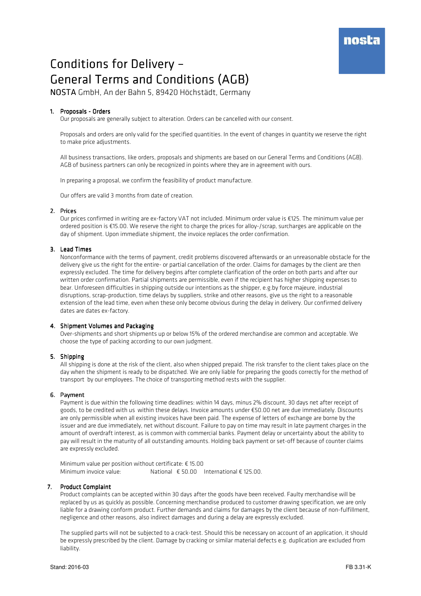# Conditions for Delivery -General Terms and Conditions (AGB)

NOSTA GmbH, An der Bahn 5, 89420 Höchstädt, Germany

# 1. Proposals - Orders

Our proposals are generally subject to alteration. Orders can be cancelled with our consent.

Proposals and orders are only valid for the specified quantities. In the event of changes in quantity we reserve the right to make price adjustments.

All business transactions, like orders, proposals and shipments are based on our General Terms and Conditions (AGB). AGB of business partners can only be recognized in points where they are in agreement with ours.

In preparing a proposal, we confirm the feasibility of product manufacture.

Our offers are valid 3 months from date of creation.

# 2. Prices

Our prices confirmed in writing are ex-factory VAT not included. Minimum order value is €125. The minimum value per ordered position is €15.00. We reserve the right to charge the prices for alloy-/scrap, surcharges are applicable on the day of shipment. Upon immediate shipment, the invoice replaces the order confirmation.

# 3. Lead Times

Nonconformance with the terms of payment, credit problems discovered afterwards or an unreasonable obstacle for the delivery give us the right for the entire- or partial cancellation of the order. Claims for damages by the client are then expressly excluded. The time for delivery begins after complete clarification of the order on both parts and after our written order confirmation. Partial shipments are permissible, even if the recipient has higher shipping expenses to bear. Unforeseen difficulties in shipping outside our intentions as the shipper, e.g.by force majeure, industrial disruptions, scrap-production, time delays by suppliers, strike and other reasons, give us the right to a reasonable extension of the lead time, even when these only become obvious during the delay in delivery. Our confirmed delivery dates are dates ex-factory.

## 4. Shipment Volumes and Packaging

Over-shipments and short shipments up or below 15% of the ordered merchandise are common and acceptable. We choose the type of packing according to our own judgment.

## 5. Shipping

All shipping is done at the risk of the client, also when shipped prepaid. The risk transfer to the client takes place on the day when the shipment is ready to be dispatched. We are only liable for preparing the goods correctly for the method of transport by our employees. The choice of transporting method rests with the supplier.

# 6. Payment

Payment is due within the following time deadlines: within 14 days, minus 2% discount, 30 days net after receipt of goods, to be credited with us within these delays. Invoice amounts under €50.00 net are due immediately. Discounts are only permissible when all existing invoices have been paid. The expense of letters of exchange are borne by the issuer and are due immediately, net without discount. Failure to pay on time may result in late payment charges in the amount of overdraft interest, as is common with commercial banks. Payment delay or uncertainty about the ability to pay will result in the maturity of all outstanding amounts. Holding back payment or set-off because of counter claims are expressly excluded.

Minimum value per position without certificate: € 15.00 Minimum invoice value: National € 50.00 International € 125.00.

# 7. Product Complaint

Product complaints can be accepted within 30 days after the goods have been received. Faulty merchandise will be replaced by us as quickly as possible. Concerning merchandise produced to customer drawing specification, we are only liable for a drawing conform product. Further demands and claims for damages by the client because of non-fulfillment, negligence and other reasons, also indirect damages and during a delay are expressly excluded.

The supplied parts will not be subjected to a crack-test. Should this be necessary on account of an application, it should be expressly prescribed by the client. Damage by cracking or similar material defects e.g. duplication are excluded from liability.

# nosta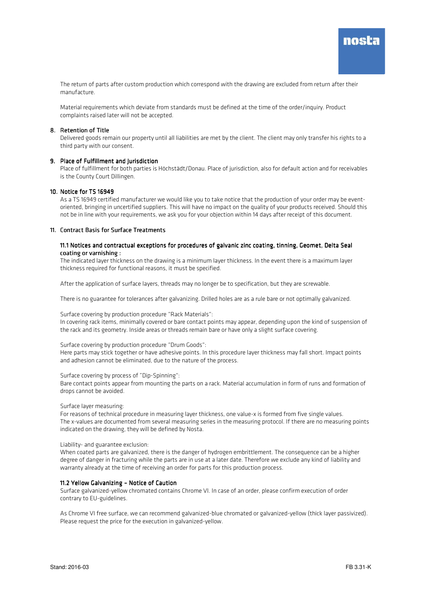The return of parts after custom production which correspond with the drawing are excluded from return after their manufacture.

Material requirements which deviate from standards must be defined at the time of the order/inquiry. Product complaints raised later will not be accepted.

#### 8. Retention of Title

Delivered goods remain our property until all liabilities are met by the client. The client may only transfer his rights to a third party with our consent.

#### 9. Place of Fulfillment and Iurisdiction

Place of fulfillment for both parties is Höchstädt/Donau. Place of jurisdiction, also for default action and for receivables is the County Court Dillingen.

#### 10. Notice for TS 16949

As a TS 16949 certified manufacturer we would like you to take notice that the production of your order may be eventoriented, bringing in uncertified suppliers. This will have no impact on the quality of your products received. Should this not be in line with your requirements, we ask you for your objection within 14 days after receipt of this document.

#### 11. Contract Basis for Surface Treatments

#### 11.1 Notices and contractual exceptions for procedures of galvanic zinc coating, tinning, Geomet, Delta Seal coating or varnishing :

The indicated layer thickness on the drawing is a minimum layer thickness. In the event there is a maximum layer thickness required for functional reasons, it must be specified.

After the application of surface layers, threads may no longer be to specification, but they are screwable.

There is no guarantee for tolerances after galvanizing. Drilled holes are as a rule bare or not optimally galvanized.

Surface covering by production procedure "Rack Materials":

In covering rack items, minimally covered or bare contact points may appear, depending upon the kind of suspension of the rack and its geometry. Inside areas or threads remain bare or have only a slight surface covering.

#### Surface covering by production procedure "Drum Goods":

Here parts may stick together or have adhesive points. In this procedure layer thickness may fall short. Impact points and adhesion cannot be eliminated, due to the nature of the process.

Surface covering by process of "Dip-Spinning":

Bare contact points appear from mounting the parts on a rack. Material accumulation in form of runs and formation of drops cannot be avoided.

Surface layer measuring:

For reasons of technical procedure in measuring layer thickness, one value-x is formed from five single values. The x-values are documented from several measuring series in the measuring protocol. If there are no measuring points indicated on the drawing, they will be defined by Nosta.

#### Liability- and guarantee exclusion:

When coated parts are galvanized, there is the danger of hydrogen embrittlement. The consequence can be a higher degree of danger in fracturing while the parts are in use at a later date. Therefore we exclude any kind of liability and warranty already at the time of receiving an order for parts for this production process.

#### 11.2 Yellow Galvanizing – Notice of Caution

Surface galvanized-yellow chromated contains Chrome VI. In case of an order, please confirm execution of order contrary to EU-guidelines.

As Chrome VI free surface, we can recommend galvanized-blue chromated or galvanized-yellow (thick layer passivized). Please request the price for the execution in galvanized-yellow.